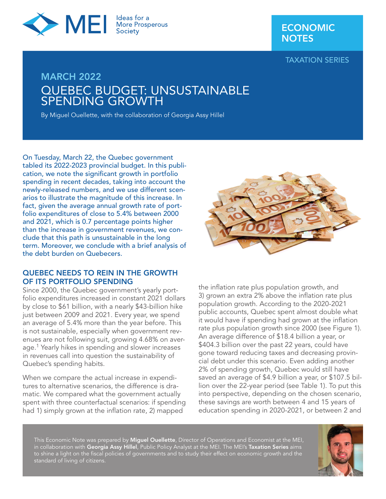

## ECONOMIC **NOTES**

TAXATION SERIES

# MARCH 2022 QUEBEC BUDGET: UNSUSTAINABLE SPENDING GROWTH

By Miguel Ouellette, with the collaboration of Georgia Assy Hillel

On Tuesday, March 22, the Quebec government tabled its 2022-2023 provincial budget. In this publication, we note the significant growth in portfolio spending in recent decades, taking into account the newly-released numbers, and we use different scenarios to illustrate the magnitude of this increase. In fact, given the average annual growth rate of portfolio expenditures of close to 5.4% between 2000 and 2021, which is 0.7 percentage points higher than the increase in government revenues, we conclude that this path is unsustainable in the long term. Moreover, we conclude with a brief analysis of the debt burden on Quebecers.

## QUEBEC NEEDS TO REIN IN THE GROWTH OF ITS PORTFOLIO SPENDING

Since 2000, the Quebec government's yearly portfolio expenditures increased in constant 2021 dollars by close to \$61 billion, with a nearly \$43-billion hike just between 2009 and 2021. Every year, we spend an average of 5.4% more than the year before. This is not sustainable, especially when government revenues are not following suit, growing 4.68% on average.<sup>1</sup> Yearly hikes in spending and slower increases in revenues call into question the sustainability of Quebec's spending habits.

When we compare the actual increase in expenditures to alternative scenarios, the difference is dramatic. We compared what the government actually spent with three counterfactual scenarios: if spending had 1) simply grown at the inflation rate, 2) mapped



the inflation rate plus population growth, and 3) grown an extra 2% above the inflation rate plus population growth. According to the 2020-2021 public accounts, Quebec spent almost double what it would have if spending had grown at the inflation rate plus population growth since 2000 (see Figure 1). An average difference of \$18.4 billion a year, or \$404.3 billion over the past 22 years, could have gone toward reducing taxes and decreasing provincial debt under this scenario. Even adding another 2% of spending growth, Quebec would still have saved an average of \$4.9 billion a year, or \$107.5 billion over the 22-year period (see Table 1). To put this into perspective, depending on the chosen scenario, these savings are worth between 4 and 15 years of education spending in 2020-2021, or between 2 and

This Economic Note was prepared by Miguel Ouellette, Director of Operations and Economist at the MEI, in collaboration with Georgia Assy Hillel, Public Policy Analyst at the MEI. The MEI's Taxation Series aims to shine a light on the fiscal policies of governments and to study their effect on economic growth and the standard of living of citizens.

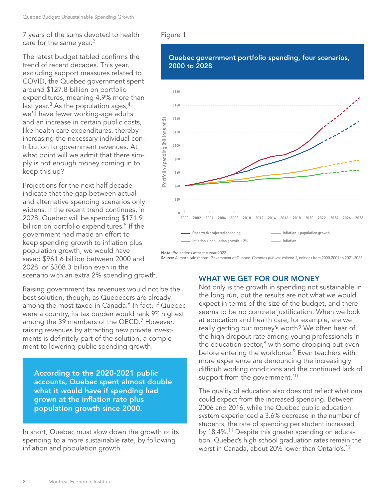7 years of the sums devoted to health care for the same year.<sup>2</sup>

The latest budget tabled confirms the trend of recent decades. This year, excluding support measures related to COVID, the Quebec government spent around \$127.8 billion on portfolio expenditures, meaning 4.9% more than last year. $3$  As the population ages, $4$ we'll have fewer working-age adults and an increase in certain public costs, like health care expenditures, thereby increasing the necessary individual contribution to government revenues. At what point will we admit that there simply is not enough money coming in to keep this up?

Projections for the next half decade indicate that the gap between actual and alternative spending scenarios only widens. If the recent trend continues, in 2028, Quebec will be spending \$171.9 billion on portfolio expenditures.<sup>5</sup> If the government had made an effort to keep spending growth to inflation plus population growth, we would have saved \$961.6 billion between 2000 and 2028, or \$308.3 billion even in the scenario with an extra 2% spending growth.

Raising government tax revenues would not be the best solution, though, as Quebecers are already among the most taxed in Canada.<sup>6</sup> In fact, if Quebec were a country, its tax burden would rank 9<sup>th</sup> highest among the 39 members of the OECD.<sup>7</sup> However, raising revenues by attracting new private investments is definitely part of the solution, a complement to lowering public spending growth.

According to the 2020-2021 public accounts, Quebec spent almost double what it would have if spending had grown at the inflation rate plus population growth since 2000.

In short, Quebec must slow down the growth of its spending to a more sustainable rate, by following inflation and population growth.

#### Figure 1





Note: Projections after the year 2022. Source: Author's calculations. Government of Quebec, *Comptes publics: Volume 1*, editions from 2000-2001 to 2021-2022.

## WHAT WE GET FOR OUR MONEY

Not only is the growth in spending not sustainable in the long run, but the results are not what we would expect in terms of the size of the budget, and there seems to be no concrete justification. When we look at education and health care, for example, are we really getting our money's worth? We often hear of the high dropout rate among young professionals in the education sector, $8$  with some dropping out even before entering the workforce.<sup>9</sup> Even teachers with more experience are denouncing the increasingly difficult working conditions and the continued lack of support from the government.<sup>10</sup>

The quality of education also does not reflect what one could expect from the increased spending. Between 2006 and 2016, while the Quebec public education system experienced a 3.6% decrease in the number of students, the rate of spending per student increased by 18.4%.<sup>11</sup> Despite this greater spending on education, Quebec's high school graduation rates remain the worst in Canada, about 20% lower than Ontario's.12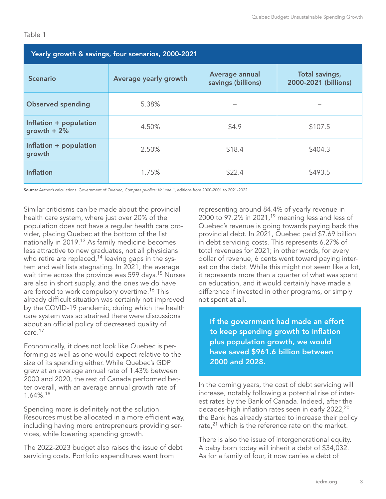| Yearly growth & savings, four scenarios, 2000-2021 |                       |                                      |                                        |
|----------------------------------------------------|-----------------------|--------------------------------------|----------------------------------------|
| <b>Scenario</b>                                    | Average yearly growth | Average annual<br>savings (billions) | Total savings,<br>2000-2021 (billions) |
| <b>Observed spending</b>                           | 5.38%                 |                                      |                                        |
| Inflation + population<br>growth $+2%$             | 4.50%                 | \$4.9                                | \$107.5                                |
| Inflation + population<br>growth                   | 2.50%                 | \$18.4                               | \$404.3                                |
| <b>Inflation</b>                                   | 1.75%                 | \$22.4                               | \$493.5                                |

Table 1

Source: Author's calculations. Government of Quebec, *Comptes publics: Volume 1*, editions from 2000-2001 to 2021-2022.

Similar criticisms can be made about the provincial health care system, where just over 20% of the population does not have a regular health care provider, placing Quebec at the bottom of the list nationally in 2019.13 As family medicine becomes less attractive to new graduates, not all physicians who retire are replaced,<sup>14</sup> leaving gaps in the system and wait lists stagnating. In 2021, the average wait time across the province was 599 days.<sup>15</sup> Nurses are also in short supply, and the ones we do have are forced to work compulsory overtime.<sup>16</sup> This already difficult situation was certainly not improved by the COVID-19 pandemic, during which the health care system was so strained there were discussions about an official policy of decreased quality of care.17

Economically, it does not look like Quebec is performing as well as one would expect relative to the size of its spending either. While Quebec's GDP grew at an average annual rate of 1.43% between 2000 and 2020, the rest of Canada performed better overall, with an average annual growth rate of 1.64%.18

Spending more is definitely not the solution. Resources must be allocated in a more efficient way, including having more entrepreneurs providing services, while lowering spending growth.

The 2022-2023 budget also raises the issue of debt servicing costs. Portfolio expenditures went from

representing around 84.4% of yearly revenue in 2000 to 97.2% in 2021,<sup>19</sup> meaning less and less of Quebec's revenue is going towards paying back the provincial debt. In 2021, Quebec paid \$7.69 billion in debt servicing costs. This represents 6.27% of total revenues for 2021; in other words, for every dollar of revenue, 6 cents went toward paying interest on the debt. While this might not seem like a lot, it represents more than a quarter of what was spent on education, and it would certainly have made a difference if invested in other programs, or simply not spent at all.

If the government had made an effort to keep spending growth to inflation plus population growth, we would have saved \$961.6 billion between 2000 and 2028.

In the coming years, the cost of debt servicing will increase, notably following a potential rise of interest rates by the Bank of Canada. Indeed, after the decades-high inflation rates seen in early 2022,<sup>20</sup> the Bank has already started to increase their policy rate,<sup>21</sup> which is the reference rate on the market.

There is also the issue of intergenerational equity. A baby born today will inherit a debt of \$34,032. As for a family of four, it now carries a debt of